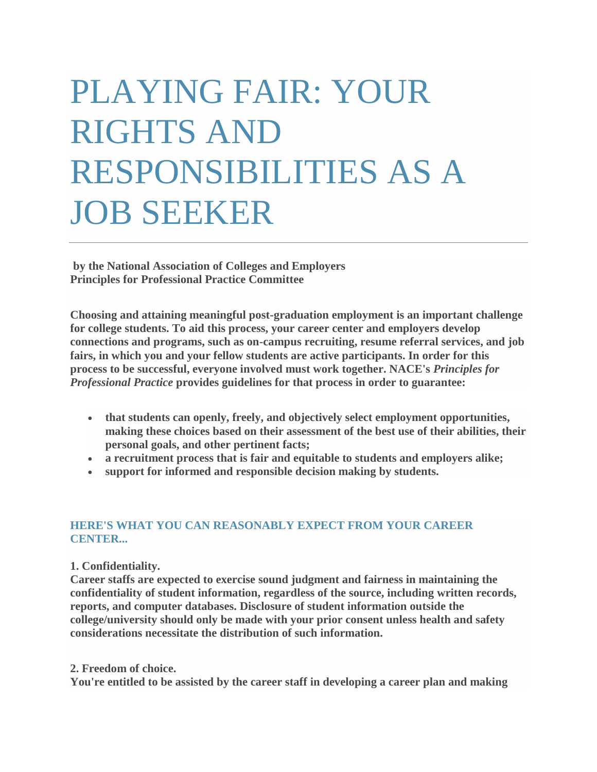# PLAYING FAIR: YOUR RIGHTS AND RESPONSIBILITIES AS A JOB SEEKER

**by the National Association of Colleges and Employers Principles for Professional Practice Committee**

**Choosing and attaining meaningful post-graduation employment is an important challenge for college students. To aid this process, your career center and employers develop connections and programs, such as on-campus recruiting, resume referral services, and job fairs, in which you and your fellow students are active participants. In order for this process to be successful, everyone involved must work together. NACE's** *Principles for Professional Practice* **provides guidelines for that process in order to guarantee:** 

- **that students can openly, freely, and objectively select employment opportunities, making these choices based on their assessment of the best use of their abilities, their personal goals, and other pertinent facts;**
- **a recruitment process that is fair and equitable to students and employers alike;**
- **support for informed and responsible decision making by students.**

# **HERE'S WHAT YOU CAN REASONABLY EXPECT FROM YOUR CAREER CENTER...**

# **1. Confidentiality.**

**Career staffs are expected to exercise sound judgment and fairness in maintaining the confidentiality of student information, regardless of the source, including written records, reports, and computer databases. Disclosure of student information outside the college/university should only be made with your prior consent unless health and safety considerations necessitate the distribution of such information.** 

## **2. Freedom of choice.**

**You're entitled to be assisted by the career staff in developing a career plan and making**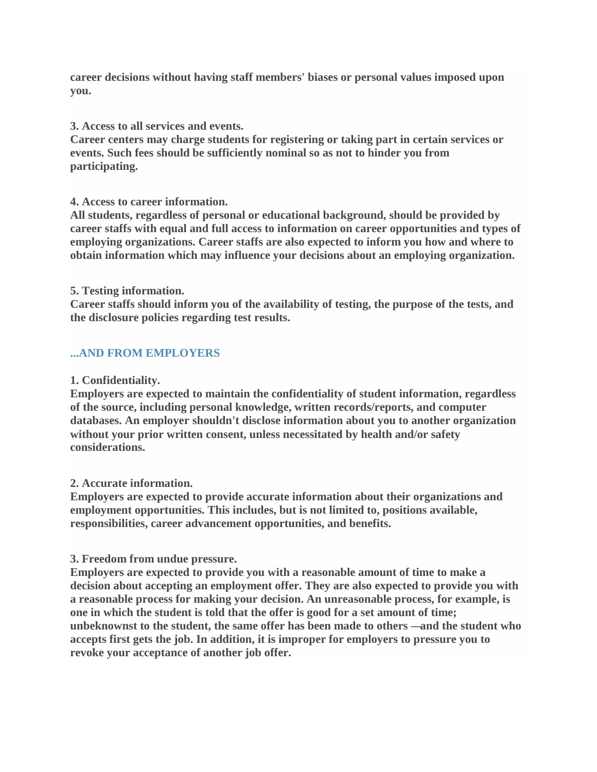**career decisions without having staff members' biases or personal values imposed upon you.**

**3. Access to all services and events.**

**Career centers may charge students for registering or taking part in certain services or events. Such fees should be sufficiently nominal so as not to hinder you from participating.** 

**4. Access to career information.**

**All students, regardless of personal or educational background, should be provided by career staffs with equal and full access to information on career opportunities and types of employing organizations. Career staffs are also expected to inform you how and where to obtain information which may influence your decisions about an employing organization.** 

#### **5. Testing information.**

**Career staffs should inform you of the availability of testing, the purpose of the tests, and the disclosure policies regarding test results.** 

## **...AND FROM EMPLOYERS**

#### **1. Confidentiality.**

**Employers are expected to maintain the confidentiality of student information, regardless of the source, including personal knowledge, written records/reports, and computer databases. An employer shouldn't disclose information about you to another organization without your prior written consent, unless necessitated by health and/or safety considerations.** 

#### **2. Accurate information.**

**Employers are expected to provide accurate information about their organizations and employment opportunities. This includes, but is not limited to, positions available, responsibilities, career advancement opportunities, and benefits.** 

#### **3. Freedom from undue pressure.**

**Employers are expected to provide you with a reasonable amount of time to make a decision about accepting an employment offer. They are also expected to provide you with a reasonable process for making your decision. An unreasonable process, for example, is one in which the student is told that the offer is good for a set amount of time; unbeknownst to the student, the same offer has been made to others —and the student who accepts first gets the job. In addition, it is improper for employers to pressure you to revoke your acceptance of another job offer.**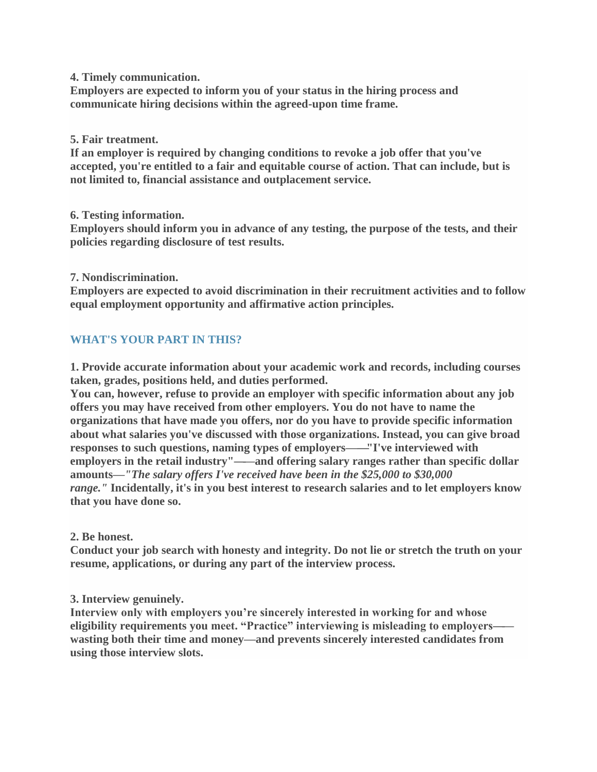**4. Timely communication.**

**Employers are expected to inform you of your status in the hiring process and communicate hiring decisions within the agreed-upon time frame.** 

## **5. Fair treatment.**

**If an employer is required by changing conditions to revoke a job offer that you've accepted, you're entitled to a fair and equitable course of action. That can include, but is not limited to, financial assistance and outplacement service.** 

## **6. Testing information.**

**Employers should inform you in advance of any testing, the purpose of the tests, and their policies regarding disclosure of test results.** 

## **7. Nondiscrimination.**

**Employers are expected to avoid discrimination in their recruitment activities and to follow equal employment opportunity and affirmative action principles.** 

# **WHAT'S YOUR PART IN THIS?**

**1. Provide accurate information about your academic work and records, including courses taken, grades, positions held, and duties performed.**

**You can, however, refuse to provide an employer with specific information about any job offers you may have received from other employers. You do not have to name the organizations that have made you offers, nor do you have to provide specific information about what salaries you've discussed with those organizations. Instead, you can give broad responses to such questions, naming types of employers——"I've interviewed with employers in the retail industry"——and offering salary ranges rather than specific dollar amounts—***"The salary offers I've received have been in the \$25,000 to \$30,000 range."* **Incidentally, it's in you best interest to research salaries and to let employers know that you have done so.** 

## **2. Be honest.**

**Conduct your job search with honesty and integrity. Do not lie or stretch the truth on your resume, applications, or during any part of the interview process.** 

# **3. Interview genuinely.**

**Interview only with employers you're sincerely interested in working for and whose eligibility requirements you meet. "Practice" interviewing is misleading to employers— wasting both their time and money—and prevents sincerely interested candidates from using those interview slots.**